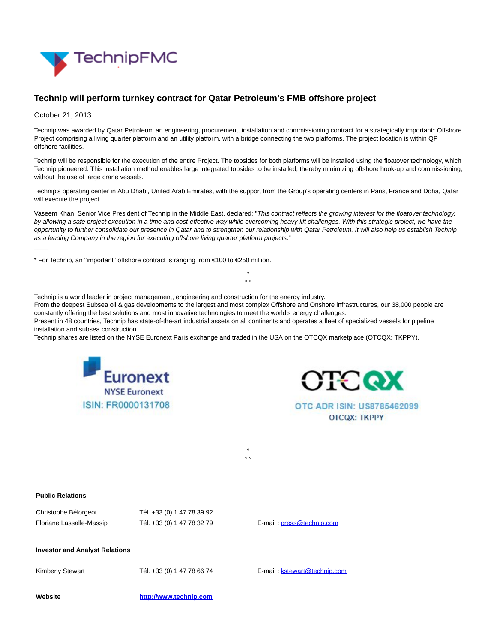

## **Technip will perform turnkey contract for Qatar Petroleum's FMB offshore project**

October 21, 2013

 $\overline{\phantom{a}}$ 

Technip was awarded by Qatar Petroleum an engineering, procurement, installation and commissioning contract for a strategically important\* Offshore Project comprising a living quarter platform and an utility platform, with a bridge connecting the two platforms. The project location is within QP offshore facilities.

Technip will be responsible for the execution of the entire Project. The topsides for both platforms will be installed using the floatover technology, which Technip pioneered. This installation method enables large integrated topsides to be installed, thereby minimizing offshore hook-up and commissioning, without the use of large crane vessels.

Technip's operating center in Abu Dhabi, United Arab Emirates, with the support from the Group's operating centers in Paris, France and Doha, Qatar will execute the project.

Vaseem Khan, Senior Vice President of Technip in the Middle East, declared: "This contract reflects the growing interest for the floatover technology, by allowing a safe project execution in a time and cost-effective way while overcoming heavy-lift challenges. With this strategic project, we have the opportunity to further consolidate our presence in Qatar and to strengthen our relationship with Qatar Petroleum. It will also help us establish Technip as a leading Company in the region for executing offshore living quarter platform projects."

> °  $\circ$

°  $\circ$ 

\* For Technip, an "important" offshore contract is ranging from €100 to €250 million.

Technip is a world leader in project management, engineering and construction for the energy industry.

From the deepest Subsea oil & gas developments to the largest and most complex Offshore and Onshore infrastructures, our 38,000 people are constantly offering the best solutions and most innovative technologies to meet the world's energy challenges.

Present in 48 countries, Technip has state-of-the-art industrial assets on all continents and operates a fleet of specialized vessels for pipeline installation and subsea construction.

Technip shares are listed on the NYSE Euronext Paris exchange and traded in the USA on the OTCQX marketplace (OTCQX: TKPPY).





OTC ADR ISIN: US8785462099 **OTCQX: TKPPY** 

| Christophe Bélorgeot                  | Tél. +33 (0) 1 47 78 39 92 |                              |
|---------------------------------------|----------------------------|------------------------------|
| Floriane Lassalle-Massip              | Tél. +33 (0) 1 47 78 32 79 | E-mail: press@technip.com    |
|                                       |                            |                              |
| <b>Investor and Analyst Relations</b> |                            |                              |
|                                       |                            |                              |
| <b>Kimberly Stewart</b>               | Tél. +33 (0) 1 47 78 66 74 | E-mail: kstewart@technip.com |
|                                       |                            |                              |

**Website [http://www.technip.com](http://www.technip.com/)**